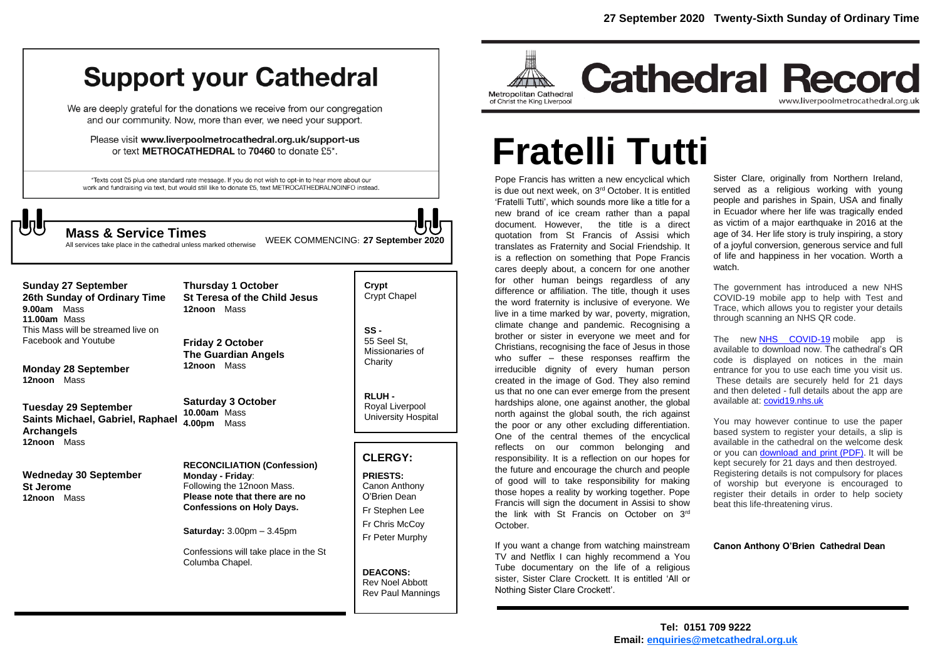## **Support your Cathedral**

We are deeply grateful for the donations we receive from our congregation and our community. Now, more than ever, we need your support.

Please visit www.liverpoolmetrocathedral.org.uk/support-us or text METROCATHEDRAL to 70460 to donate £5\*.

\*Texts cost £5 plus one standard rate message. If you do not wish to opt-in to hear more about our work and fundraising via text, but would still like to donate £5, text METROCATHEDRALNOINFO instead.

**Sunday 27 September** 

Facebook and Youtube

**Monday 28 September**

**Tuesday 29 September**

**Wedneday 30 September**

**Saints Michael, Gabriel, Raphael** 

**9.00am** Mass **11.00am** Mass

**12noon** Mass

**Archangels 12noon** Mass

**St Jerome 12noon** Mass

WEEK COMMENCING: **<sup>27</sup> September <sup>2020</sup> Mass & Service Times**

All services take place in the cathedral unless marked otherwise

**Crypt**  Crypt Chapel **SS - 26th Sunday of Ordinary Time** This Mass will be streamed live on **Thursday 1 October St Teresa of the Child Jesus 12noon** Mass

**Friday 2 October The Guardian Angels 12noon** Mass

**Saturday 3 October 10.00am** Mass **4.00pm** Mass

**RECONCILIATION (Confession) Monday - Friday**: Following the 12noon Mass. **Please note that there are no Confessions on Holy Days.**

**Saturday:** 3.00pm – 3.45pm

Confessions will take place in the St Columba Chapel.



Missionaries of **Charity** 

**RLUH -** Royal Liverpool University Hospital

#### **CLERGY:**

**PRIESTS:** Canon Anthony O'Brien *Dean* Fr Stephen Lee Fr Chris McCoy Fr Peter Murphy

**DEACONS:** Rev Noel Abbott Rev Paul Mannings



## **Cathedral Record** www.liverpoolmetrocathedral.org.uk

# **Fratelli Tutti**

Pope Francis has written a new encyclical which is due out next week, on 3rd October. It is entitled 'Fratelli Tutti', which sounds more like a title for a new brand of ice cream rather than a papal document. However, the title is a direct quotation from St Francis of Assisi which translates as Fraternity and Social Friendship. It is a reflection on something that Pope Francis cares deeply about, a concern for one another for other human beings regardless of any difference or affiliation. The title, though it uses the word fraternity is inclusive of everyone. We live in a time marked by war, poverty, migration, climate change and pandemic. Recognising a brother or sister in everyone we meet and for Christians, recognising the face of Jesus in those who suffer – these responses reaffirm the irreducible dignity of every human person created in the image of God. They also remind us that no one can ever emerge from the present hardships alone, one against another, the global north against the global south, the rich against the poor or any other excluding differentiation. One of the central themes of the encyclical reflects on our common belonging and responsibility. It is a reflection on our hopes for the future and encourage the church and people of good will to take responsibility for making those hopes a reality by working together. Pope Francis will sign the document in Assisi to show the link with St Francis on October on 3rd October.

If you want a change from watching mainstream TV and Netflix I can highly recommend a You Tube documentary on the life of a religious sister, Sister Clare Crockett. It is entitled 'All or Nothing Sister Clare Crockett'.

Sister Clare, originally from Northern Ireland, served as a religious working with young people and parishes in Spain, USA and finally in Ecuador where her life was tragically ended as victim of a major earthquake in 2016 at the age of 34. Her life story is truly inspiring, a story of a joyful conversion, generous service and full of life and happiness in her vocation. Worth a watch.

The government has introduced a new NHS COVID-19 mobile app to help with Test and Trace, which allows you to register your details through scanning an NHS QR code.

The new [NHS COVID-19](https://www.nhs.uk/apps-library/nhs-covid-19/) mobile app is available to download now. The cathedral's QR code is displayed on notices in the main entrance for you to use each time you visit us. These details are securely held for 21 days and then deleted - full details about the app are available at: [covid19.nhs.uk](https://covid19.nhs.uk/)

You may however continue to use the paper based system to register your details, a slip is available in the cathedral on the welcome desk or you can [download and print](https://www.stgeorges.glownet.uk/media/1322/track-trace-card-single.pdf) (PDF). It will be kept securely for 21 days and then destroyed. Registering details is not compulsory for places of worship but everyone is encouraged to register their details in order to help society beat this life-threatening virus.

#### **Canon Anthony O'Brien Cathedral Dean**